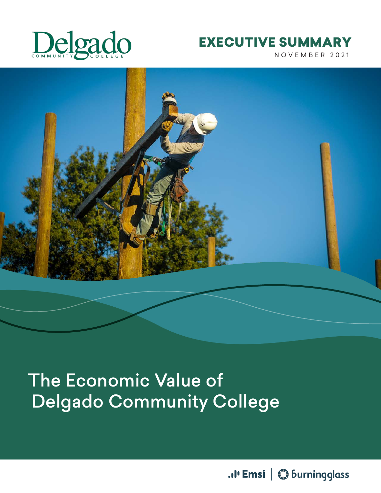

## NOVEMBER 2021 EXECUTIVE SUMMARY



# The Economic Value of Delgado Community College

.. I' Emsi | Colurningglass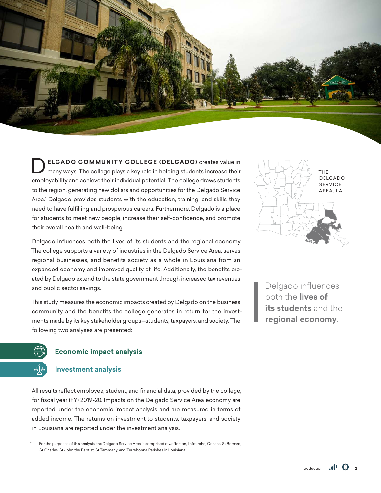

**DELGADO COMMUNITY COLLEGE (DELGADO)** creates value in many ways. The college plays a key role in helping students increase their employability and achieve their individual potential. The college draws students to the region, generating new dollars and opportunities for the Delgado Service Area.\* Delgado provides students with the education, training, and skills they need to have fulfilling and prosperous careers. Furthermore, Delgado is a place for students to meet new people, increase their self-confidence, and promote their overall health and well-being.

Delgado influences both the lives of its students and the regional economy. The college supports a variety of industries in the Delgado Service Area, serves regional businesses, and benefits society as a whole in Louisiana from an expanded economy and improved quality of life. Additionally, the benefits created by Delgado extend to the state government through increased tax revenues and public sector savings.

This study measures the economic impacts created by Delgado on the business community and the benefits the college generates in return for the investments made by its key stakeholder groups—students, taxpayers, and society. The following two analyses are presented:



Delgado influences both the **lives of its students** and the **regional economy**.



#### **Economic impact analysis**

#### **Investment analysis**

All results reflect employee, student, and financial data, provided by the college, for fiscal year (FY) 2019-20. Impacts on the Delgado Service Area economy are reported under the economic impact analysis and are measured in terms of added income. The returns on investment to students, taxpayers, and society in Louisiana are reported under the investment analysis.

For the purposes of this analysis, the Delgado Service Area is comprised of Jefferson, Lafourche, Orleans, St Bernard, St Charles, St John the Baptist, St Tammany, and Terrebonne Parishes in Louisiana.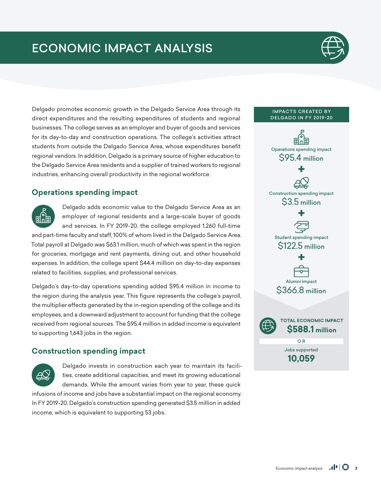

Delgado promotes economic growth in the Delgado Service Area through its direct expenditures and the resulting expenditures of students and regional businesses. The college serves as an employer and buyer of goods and services for its day-to-day and construction operations. The college's activities attract students from outside the Delgado Service Area, whose expenditures benefit regional vendors. In addition, Delgado is a primary source of higher education to the Delgado Service Area residents and a supplier of trained workers to regional industries, enhancing overall productivity in the regional workforce.

## **Operations spending impact**



Delgado adds economic value to the Delgado Service Area as an employer of regional residents and a large-scale buyer of goods and services. In FY 2019-20, the college employed 1,260 full-time

and part-time faculty and staff, 100% of whom lived in the Delgado Service Area. Total payroll at Delgado was \$63.1 million, much of which was spent in the region for groceries, mortgage and rent payments, dining out, and other household expenses. In addition, the college spent \$44.4 million on day-to-day expenses related to facilities, supplies, and professional services.

Delgado's day-to-day operations spending added \$95.4 million in income to the region during the analysis year. This figure represents the college's payroll, the multiplier effects generated by the in-region spending of the college and its employees, and a downward adjustment to account for funding that the college received from regional sources. The \$95.4 million in added income is equivalent to supporting 1,643 jobs in the region.

## **Construction spending impact**



Delgado invests in construction each year to maintain its facilities, create additional capacities, and meet its growing educational demands. While the amount varies from year to year, these quick

infusions of income and jobs have a substantial impact on the regional economy. In FY 2019-20, Delgado's construction spending generated \$3.5 million in added income, which is equivalent to supporting 53 jobs.

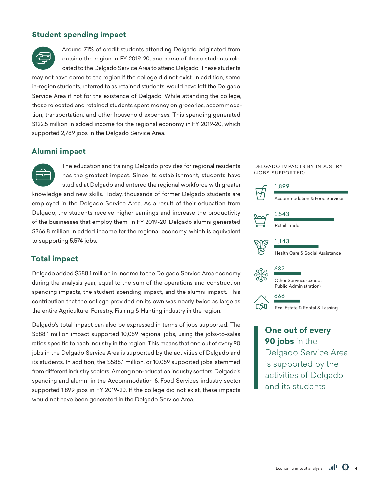### **Student spending impact**



Around 71% of credit students attending Delgado originated from outside the region in FY 2019-20, and some of these students relocated to the Delgado Service Area to attend Delgado. These students

may not have come to the region if the college did not exist. In addition, some in-region students, referred to as retained students, would have left the Delgado Service Area if not for the existence of Delgado. While attending the college, these relocated and retained students spent money on groceries, accommodation, transportation, and other household expenses. This spending generated \$122.5 million in added income for the regional economy in FY 2019-20, which supported 2,789 jobs in the Delgado Service Area.

#### **Alumni impact**

The education and training Delgado provides for regional residents  $\sigma$ has the greatest impact. Since its establishment, students have studied at Delgado and entered the regional workforce with greater knowledge and new skills. Today, thousands of former Delgado students are employed in the Delgado Service Area. As a result of their education from Delgado, the students receive higher earnings and increase the productivity of the businesses that employ them. In FY 2019-20, Delgado alumni generated \$366.8 million in added income for the regional economy, which is equivalent to supporting 5,574 jobs.

#### **Total impact**

Delgado added \$588.1 million in income to the Delgado Service Area economy during the analysis year, equal to the sum of the operations and construction spending impacts, the student spending impact, and the alumni impact. This contribution that the college provided on its own was nearly twice as large as the entire Agriculture, Forestry, Fishing & Hunting industry in the region.

Delgado's total impact can also be expressed in terms of jobs supported. The \$588.1 million impact supported 10,059 regional jobs, using the jobs-to-sales ratios specific to each industry in the region. This means that one out of every 90 jobs in the Delgado Service Area is supported by the activities of Delgado and its students. In addition, the \$588.1 million, or 10,059 supported jobs, stemmed from different industry sectors. Among non-education industry sectors, Delgado's spending and alumni in the Accommodation & Food Services industry sector supported 1,899 jobs in FY 2019-20. If the college did not exist, these impacts would not have been generated in the Delgado Service Area.

#### DELGADO IMPACTS BY INDUSTRY (JOBS SUPPORTED)



**One out of every 90 jobs** in the Delgado Service Area is supported by the activities of Delgado and its students.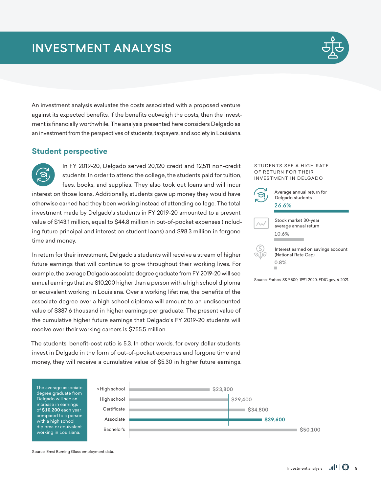

An investment analysis evaluates the costs associated with a proposed venture against its expected benefits. If the benefits outweigh the costs, then the investment is financially worthwhile. The analysis presented here considers Delgado as an investment from the perspectives of students, taxpayers, and society in Louisiana.

#### **Student perspective**

In FY 2019-20, Delgado served 20,120 credit and 12,511 non-credit students. In order to attend the college, the students paid for tuition, fees, books, and supplies. They also took out loans and will incur interest on those loans. Additionally, students gave up money they would have otherwise earned had they been working instead of attending college. The total investment made by Delgado's students in FY 2019-20 amounted to a present value of \$143.1 million, equal to \$44.8 million in out-of-pocket expenses (including future principal and interest on student loans) and \$98.3 million in forgone time and money.

In return for their investment, Delgado's students will receive a stream of higher future earnings that will continue to grow throughout their working lives. For example, the average Delgado associate degree graduate from FY 2019-20 will see annual earnings that are \$10,200 higher than a person with a high school diploma or equivalent working in Louisiana. Over a working lifetime, the benefits of the associate degree over a high school diploma will amount to an undiscounted value of \$387.6 thousand in higher earnings per graduate. The present value of the cumulative higher future earnings that Delgado's FY 2019-20 students will receive over their working careers is \$755.5 million.

The students' benefit-cost ratio is 5.3. In other words, for every dollar students invest in Delgado in the form of out-of-pocket expenses and forgone time and money, they will receive a cumulative value of \$5.30 in higher future earnings.



Source: Emsi Burning Glass employment data.

#### STUDENTS SEE A HIGH RATE OF RETURN FOR THEIR INVESTMENT IN DELGADO

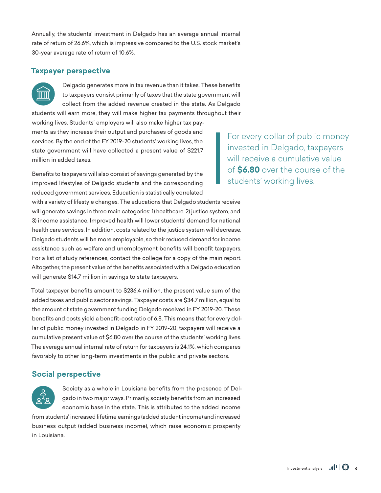Annually, the students' investment in Delgado has an average annual internal rate of return of 26.6%, which is impressive compared to the U.S. stock market's 30-year average rate of return of 10.6%.

#### **Taxpayer perspective**



Delgado generates more in tax revenue than it takes. These benefits to taxpayers consist primarily of taxes that the state government will collect from the added revenue created in the state. As Delgado students will earn more, they will make higher tax payments throughout their

working lives. Students' employers will also make higher tax payments as they increase their output and purchases of goods and services. By the end of the FY 2019-20 students' working lives, the state government will have collected a present value of \$221.7 million in added taxes.

Benefits to taxpayers will also consist of savings generated by the improved lifestyles of Delgado students and the corresponding reduced government services. Education is statistically correlated

with a variety of lifestyle changes. The educations that Delgado students receive will generate savings in three main categories: 1) healthcare, 2) justice system, and 3) income assistance. Improved health will lower students' demand for national health care services. In addition, costs related to the justice system will decrease. Delgado students will be more employable, so their reduced demand for income assistance such as welfare and unemployment benefits will benefit taxpayers. For a list of study references, contact the college for a copy of the main report. Altogether, the present value of the benefits associated with a Delgado education will generate \$14.7 million in savings to state taxpayers.

Total taxpayer benefits amount to \$236.4 million, the present value sum of the added taxes and public sector savings. Taxpayer costs are \$34.7 million, equal to the amount of state government funding Delgado received in FY 2019-20. These benefits and costs yield a benefit-cost ratio of 6.8. This means that for every dollar of public money invested in Delgado in FY 2019-20, taxpayers will receive a cumulative present value of \$6.80 over the course of the students' working lives. The average annual internal rate of return for taxpayers is 24.1%, which compares favorably to other long-term investments in the public and private sectors.

### **Social perspective**



Society as a whole in Louisiana benefits from the presence of Delgado in two major ways. Primarily, society benefits from an increased economic base in the state. This is attributed to the added income

from students' increased lifetime earnings (added student income) and increased business output (added business income), which raise economic prosperity in Louisiana.

For every dollar of public money invested in Delgado, taxpayers will receive a cumulative value of **\$6.80** over the course of the students' working lives.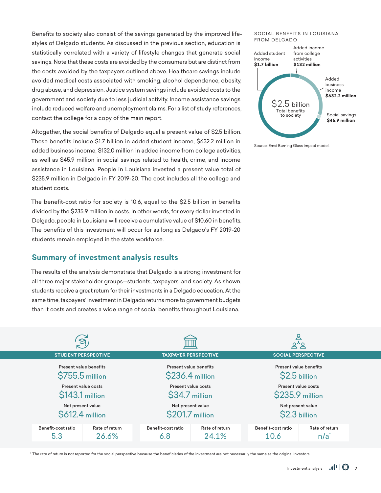Benefits to society also consist of the savings generated by the improved lifestyles of Delgado students. As discussed in the previous section, education is statistically correlated with a variety of lifestyle changes that generate social savings. Note that these costs are avoided by the consumers but are distinct from the costs avoided by the taxpayers outlined above. Healthcare savings include avoided medical costs associated with smoking, alcohol dependence, obesity, drug abuse, and depression. Justice system savings include avoided costs to the government and society due to less judicial activity. Income assistance savings include reduced welfare and unemployment claims. For a list of study references, contact the college for a copy of the main report.

Altogether, the social benefits of Delgado equal a present value of \$2.5 billion. These benefits include \$1.7 billion in added student income, \$632.2 million in added business income, \$132.0 million in added income from college activities, as well as \$45.9 million in social savings related to health, crime, and income assistance in Louisiana. People in Louisiana invested a present value total of \$235.9 million in Delgado in FY 2019-20. The cost includes all the college and student costs.

The benefit-cost ratio for society is 10.6, equal to the \$2.5 billion in benefits divided by the \$235.9 million in costs. In other words, for every dollar invested in Delgado, people in Louisiana will receive a cumulative value of \$10.60 in benefits. The benefits of this investment will occur for as long as Delgado's FY 2019-20 students remain employed in the state workforce.

#### **Summary of investment analysis results**

The results of the analysis demonstrate that Delgado is a strong investment for all three major stakeholder groups—students, taxpayers, and society. As shown, students receive a great return for their investments in a Delgado education. At the same time, taxpayers' investment in Delgado returns more to government budgets than it costs and creates a wide range of social benefits throughout Louisiana.

#### SOCIAL BENEFITS IN LOUISIANA FROM DELGADO



Source: Emsi Burning Glass impact model.

| ີອັ                                                                                                                                  |                           |                                                                |                            |                                    |  |
|--------------------------------------------------------------------------------------------------------------------------------------|---------------------------|----------------------------------------------------------------|----------------------------|------------------------------------|--|
| <b>STUDENT PERSPECTIVE</b>                                                                                                           |                           | <b>TAXPAYER PERSPECTIVE</b>                                    |                            | <b>SOCIAL PERSPECTIVE</b>          |  |
| Present value benefits<br>Present value benefits<br>\$755.5 million<br>\$236.4 million<br>Present value costs<br>Present value costs |                           | Present value benefits<br>\$2.5 billion<br>Present value costs |                            |                                    |  |
| \$143.1 million                                                                                                                      |                           | \$34.7 million                                                 |                            | \$235.9 million                    |  |
| Net present value<br>\$612.4 million                                                                                                 |                           | Net present value<br>\$201.7 million                           |                            | Net present value<br>\$2.3 billion |  |
| Rate of return<br>Benefit-cost ratio<br>26.6%<br>5.3                                                                                 | Benefit-cost ratio<br>6.8 | Rate of return<br>24.1%                                        | Benefit-cost ratio<br>10.6 | Rate of return<br>n/a              |  |

\* The rate of return is not reported for the social perspective because the beneficiaries of the investment are not necessarily the same as the original investors.